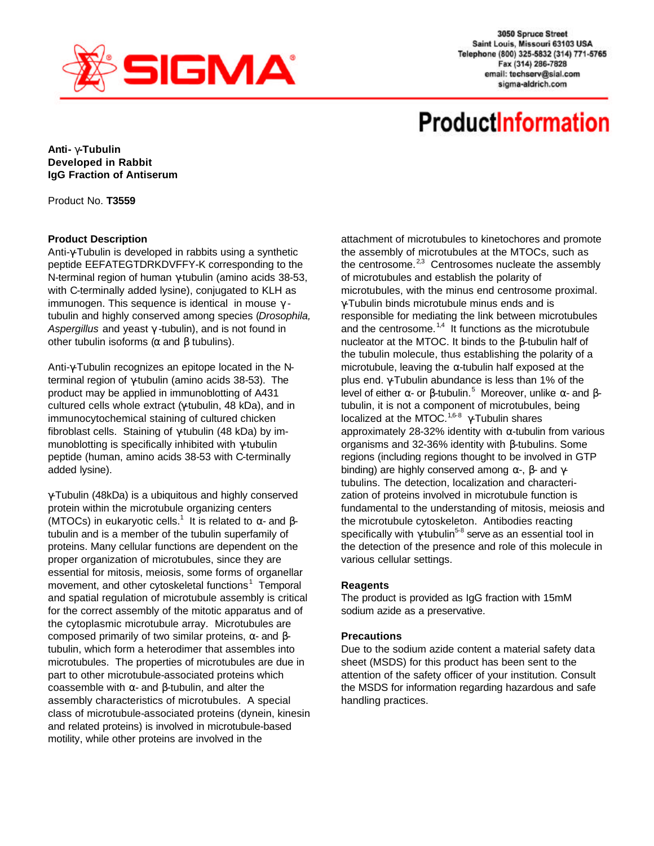

3050 Spruce Street Saint Louis, Missouri 63103 USA Telephone (800) 325-5832 (314) 771-5765 Fax (314) 286-7828 email: techserv@sial.com sigma-aldrich.com

# **ProductInformation**

**Anti- g-Tubulin Developed in Rabbit IgG Fraction of Antiserum**

Product No. **T3559**

## **Product Description**

Anti-γ-Tubulin is developed in rabbits using a synthetic peptide EEFATEGTDRKDVFFY-K corresponding to the N-terminal region of human γ-tubulin (amino acids 38-53, with C-terminally added lysine), conjugated to KLH as immunogen. This sequence is identical in mouse  $\gamma$  tubulin and highly conserved among species (*Drosophila, Aspergillus* and yeast γ -tubulin), and is not found in other tubulin isoforms ( $α$  and  $β$  tubulins).

Anti-γ-Tubulin recognizes an epitope located in the Nterminal region of γ-tubulin (amino acids 38-53). The product may be applied in immunoblotting of A431 cultured cells whole extract (γ-tubulin, 48 kDa), and in immunocytochemical staining of cultured chicken fibroblast cells. Staining of γ-tubulin (48 kDa) by immunoblotting is specifically inhibited with γ-tubulin peptide (human, amino acids 38-53 with C-terminally added lysine).

γ-Tubulin (48kDa) is a ubiquitous and highly conserved protein within the microtubule organizing centers (MTOCs) in eukaryotic cells.<sup>1</sup> It is related to  $\alpha$ - and βtubulin and is a member of the tubulin superfamily of proteins. Many cellular functions are dependent on the proper organization of microtubules, since they are essential for mitosis, meiosis, some forms of organellar movement, and other cytoskeletal functions<sup>1</sup> Temporal and spatial regulation of microtubule assembly is critical for the correct assembly of the mitotic apparatus and of the cytoplasmic microtubule array. Microtubules are composed primarily of two similar proteins, α- and βtubulin, which form a heterodimer that assembles into microtubules. The properties of microtubules are due in part to other microtubule-associated proteins which coassemble with α- and β-tubulin, and alter the assembly characteristics of microtubules. A special class of microtubule-associated proteins (dynein, kinesin and related proteins) is involved in microtubule-based motility, while other proteins are involved in the

attachment of microtubules to kinetochores and promote the assembly of microtubules at the MTOCs, such as the centrosome. $23$  Centrosomes nucleate the assembly of microtubules and establish the polarity of microtubules, with the minus end centrosome proximal. γ-Tubulin binds microtubule minus ends and is responsible for mediating the link between microtubules and the centrosome.<sup>1,4</sup> It functions as the microtubule nucleator at the MTOC. It binds to the β-tubulin half of the tubulin molecule, thus establishing the polarity of a microtubule, leaving the  $\alpha$ -tubulin half exposed at the plus end. γ-Tubulin abundance is less than 1% of the level of either  $\alpha$ - or β-tubulin.<sup>5</sup> Moreover, unlike  $\alpha$ - and βtubulin, it is not a component of microtubules, being localized at the MTOC.<sup>1,6-8</sup>  $\gamma$ -Tubulin shares approximately 28-32% identity with  $\alpha$ -tubulin from various organisms and 32-36% identity with β-tubulins. Some regions (including regions thought to be involved in GTP binding) are highly conserved among  $\alpha$ -,  $\beta$ - and γtubulins. The detection, localization and characterization of proteins involved in microtubule function is fundamental to the understanding of mitosis, meiosis and the microtubule cytoskeleton. Antibodies reacting specifically with  $\gamma$ -tubulin<sup>5-8</sup> serve as an essential tool in the detection of the presence and role of this molecule in various cellular settings.

#### **Reagents**

The product is provided as IgG fraction with 15mM sodium azide as a preservative.

# **Precautions**

Due to the sodium azide content a material safety data sheet (MSDS) for this product has been sent to the attention of the safety officer of your institution. Consult the MSDS for information regarding hazardous and safe handling practices.